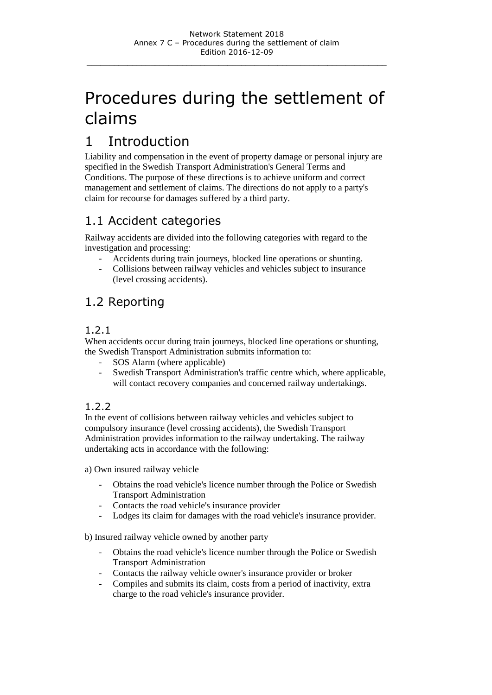# Procedures during the settlement of claims

# 1 Introduction

Liability and compensation in the event of property damage or personal injury are specified in the Swedish Transport Administration's General Terms and Conditions. The purpose of these directions is to achieve uniform and correct management and settlement of claims. The directions do not apply to a party's claim for recourse for damages suffered by a third party.

# 1.1 Accident categories

Railway accidents are divided into the following categories with regard to the investigation and processing:

- Accidents during train journeys, blocked line operations or shunting.
- Collisions between railway vehicles and vehicles subject to insurance (level crossing accidents).

# 1.2 Reporting

#### 1.2.1

When accidents occur during train journeys, blocked line operations or shunting, the Swedish Transport Administration submits information to:

- SOS Alarm (where applicable)
- Swedish Transport Administration's traffic centre which, where applicable, will contact recovery companies and concerned railway undertakings.

### 1.2.2

In the event of collisions between railway vehicles and vehicles subject to compulsory insurance (level crossing accidents), the Swedish Transport Administration provides information to the railway undertaking. The railway undertaking acts in accordance with the following:

a) Own insured railway vehicle

- Obtains the road vehicle's licence number through the Police or Swedish Transport Administration
- Contacts the road vehicle's insurance provider
- Lodges its claim for damages with the road vehicle's insurance provider.

b) Insured railway vehicle owned by another party

- Obtains the road vehicle's licence number through the Police or Swedish Transport Administration
- Contacts the railway vehicle owner's insurance provider or broker
- Compiles and submits its claim, costs from a period of inactivity, extra charge to the road vehicle's insurance provider.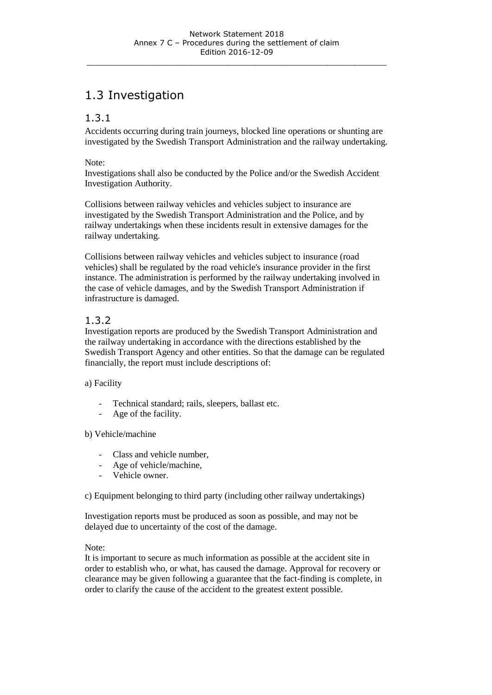# 1.3 Investigation

#### 1.3.1

Accidents occurring during train journeys, blocked line operations or shunting are investigated by the Swedish Transport Administration and the railway undertaking.

#### Note:

Investigations shall also be conducted by the Police and/or the Swedish Accident Investigation Authority.

Collisions between railway vehicles and vehicles subject to insurance are investigated by the Swedish Transport Administration and the Police, and by railway undertakings when these incidents result in extensive damages for the railway undertaking.

Collisions between railway vehicles and vehicles subject to insurance (road vehicles) shall be regulated by the road vehicle's insurance provider in the first instance. The administration is performed by the railway undertaking involved in the case of vehicle damages, and by the Swedish Transport Administration if infrastructure is damaged.

#### 1.3.2

Investigation reports are produced by the Swedish Transport Administration and the railway undertaking in accordance with the directions established by the Swedish Transport Agency and other entities. So that the damage can be regulated financially, the report must include descriptions of:

#### a) Facility

- Technical standard; rails, sleepers, ballast etc.
- Age of the facility.

#### b) Vehicle/machine

- Class and vehicle number,
- Age of vehicle/machine,
- Vehicle owner.

c) Equipment belonging to third party (including other railway undertakings)

Investigation reports must be produced as soon as possible, and may not be delayed due to uncertainty of the cost of the damage.

#### Note:

It is important to secure as much information as possible at the accident site in order to establish who, or what, has caused the damage. Approval for recovery or clearance may be given following a guarantee that the fact-finding is complete, in order to clarify the cause of the accident to the greatest extent possible.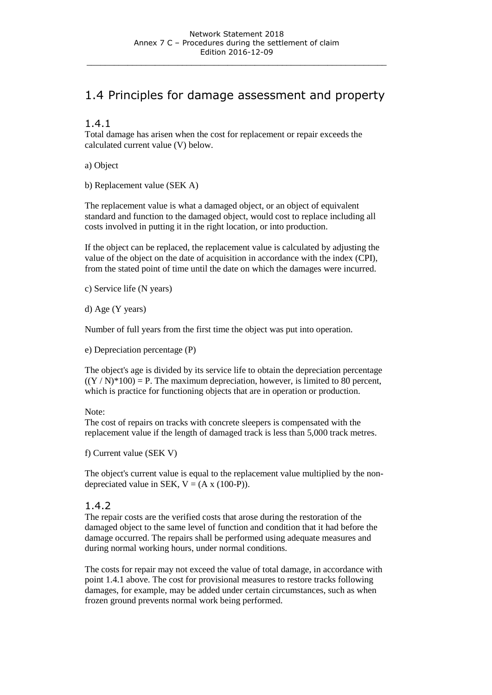# 1.4 Principles for damage assessment and property

#### 1.4.1

Total damage has arisen when the cost for replacement or repair exceeds the calculated current value (V) below.

a) Object

b) Replacement value (SEK A)

The replacement value is what a damaged object, or an object of equivalent standard and function to the damaged object, would cost to replace including all costs involved in putting it in the right location, or into production.

If the object can be replaced, the replacement value is calculated by adjusting the value of the object on the date of acquisition in accordance with the index (CPI), from the stated point of time until the date on which the damages were incurred.

c) Service life (N years)

d) Age (Y years)

Number of full years from the first time the object was put into operation.

e) Depreciation percentage (P)

The object's age is divided by its service life to obtain the depreciation percentage  $((Y/N)^*100) = P$ . The maximum depreciation, however, is limited to 80 percent, which is practice for functioning objects that are in operation or production.

#### Note:

The cost of repairs on tracks with concrete sleepers is compensated with the replacement value if the length of damaged track is less than 5,000 track metres.

f) Current value (SEK V)

The object's current value is equal to the replacement value multiplied by the nondepreciated value in SEK,  $V = (A \times (100-P))$ .

#### 1.4.2

The repair costs are the verified costs that arose during the restoration of the damaged object to the same level of function and condition that it had before the damage occurred. The repairs shall be performed using adequate measures and during normal working hours, under normal conditions.

The costs for repair may not exceed the value of total damage, in accordance with point 1.4.1 above. The cost for provisional measures to restore tracks following damages, for example, may be added under certain circumstances, such as when frozen ground prevents normal work being performed.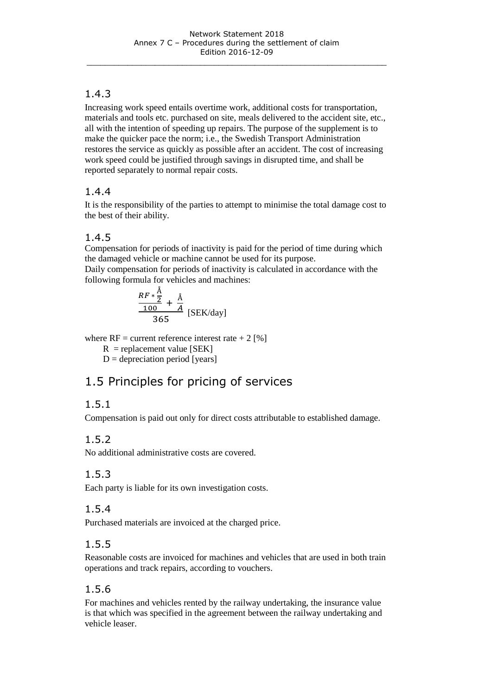### 1.4.3

Increasing work speed entails overtime work, additional costs for transportation, materials and tools etc. purchased on site, meals delivered to the accident site, etc., all with the intention of speeding up repairs. The purpose of the supplement is to make the quicker pace the norm; i.e., the Swedish Transport Administration restores the service as quickly as possible after an accident. The cost of increasing work speed could be justified through savings in disrupted time, and shall be reported separately to normal repair costs.

### 1.4.4

It is the responsibility of the parties to attempt to minimise the total damage cost to the best of their ability.

### 1.4.5

Compensation for periods of inactivity is paid for the period of time during which the damaged vehicle or machine cannot be used for its purpose.

Daily compensation for periods of inactivity is calculated in accordance with the following formula for vehicles and machines:

$$
\frac{RF*\frac{\text{Å}}{2}}{365} + \frac{\text{Å}}{A} \text{ [SEK/day]}
$$

where  $RF =$  current reference interest rate  $+ 2 [%]$ 

 $R$  = replacement value [SEK]

 $D =$  depreciation period [years]

# 1.5 Principles for pricing of services

### 1.5.1

Compensation is paid out only for direct costs attributable to established damage.

### 1.5.2

No additional administrative costs are covered.

### 1.5.3

Each party is liable for its own investigation costs.

### 1.5.4

Purchased materials are invoiced at the charged price.

### 1.5.5

Reasonable costs are invoiced for machines and vehicles that are used in both train operations and track repairs, according to vouchers.

### 1.5.6

For machines and vehicles rented by the railway undertaking, the insurance value is that which was specified in the agreement between the railway undertaking and vehicle leaser.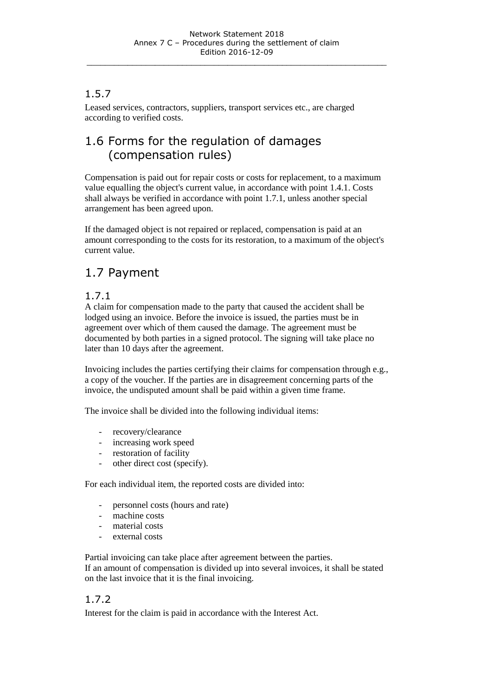### 1.5.7

Leased services, contractors, suppliers, transport services etc., are charged according to verified costs.

# 1.6 Forms for the regulation of damages (compensation rules)

Compensation is paid out for repair costs or costs for replacement, to a maximum value equalling the object's current value, in accordance with point 1.4.1. Costs shall always be verified in accordance with point 1.7.1, unless another special arrangement has been agreed upon.

If the damaged object is not repaired or replaced, compensation is paid at an amount corresponding to the costs for its restoration, to a maximum of the object's current value.

# 1.7 Payment

#### 1.7.1

A claim for compensation made to the party that caused the accident shall be lodged using an invoice. Before the invoice is issued, the parties must be in agreement over which of them caused the damage. The agreement must be documented by both parties in a signed protocol. The signing will take place no later than 10 days after the agreement.

Invoicing includes the parties certifying their claims for compensation through e.g., a copy of the voucher. If the parties are in disagreement concerning parts of the invoice, the undisputed amount shall be paid within a given time frame.

The invoice shall be divided into the following individual items:

- recovery/clearance
- increasing work speed
- restoration of facility
- other direct cost (specify).

For each individual item, the reported costs are divided into:

- personnel costs (hours and rate)
- machine costs
- material costs
- external costs

Partial invoicing can take place after agreement between the parties.

If an amount of compensation is divided up into several invoices, it shall be stated on the last invoice that it is the final invoicing.

### 1.7.2

Interest for the claim is paid in accordance with the Interest Act.